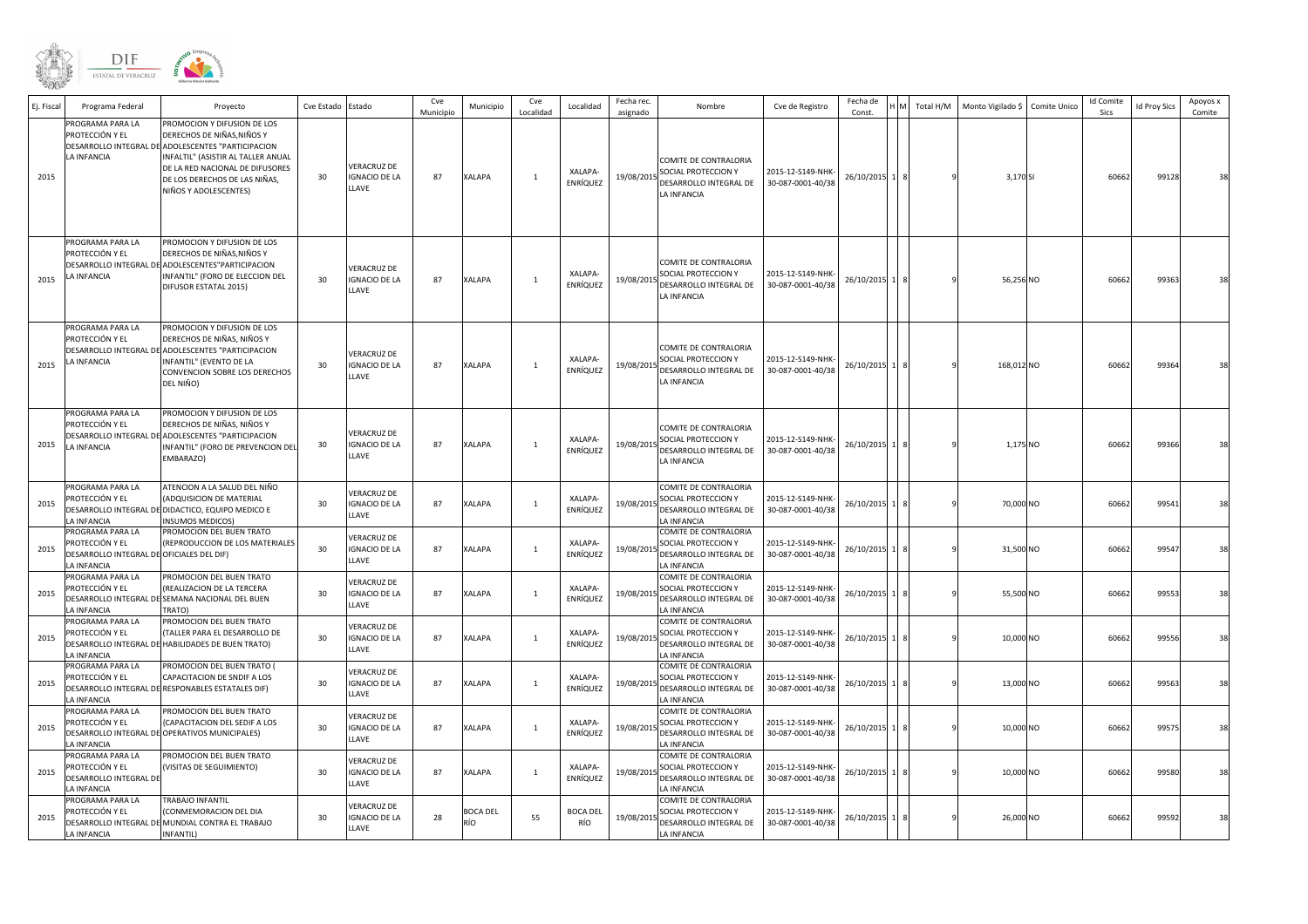

| Ej. Fiscal | Programa Federal                                                                              | Proyecto                                                                                                                                                                                                                                           | Cve Estado | Estado                                              | Cve<br>Municipio | Municipio              | Cve<br>Localidad | Localidad              | Fecha rec.<br>asignado | Nombre                                                                                           | Cve de Registro                        | Fecha de<br>Const. | Total H/M | Monto Vigilado \$ | Comite Unico | <b>Id Comite</b><br>Sics | <b>Id Proy Sics</b> | Apoyos x<br>Comite |
|------------|-----------------------------------------------------------------------------------------------|----------------------------------------------------------------------------------------------------------------------------------------------------------------------------------------------------------------------------------------------------|------------|-----------------------------------------------------|------------------|------------------------|------------------|------------------------|------------------------|--------------------------------------------------------------------------------------------------|----------------------------------------|--------------------|-----------|-------------------|--------------|--------------------------|---------------------|--------------------|
| 2015       | PROGRAMA PARA LA<br>PROTECCIÓN Y EL<br>LA INFANCIA                                            | PROMOCION Y DIFUSION DE LOS<br>DERECHOS DE NIÑAS, NIÑOS Y<br>DESARROLLO INTEGRAL DE ADOLESCENTES "PARTICIPACION<br>INFALTIL" (ASISTIR AL TALLER ANUAL<br>DE LA RED NACIONAL DE DIFUSORES<br>DE LOS DERECHOS DE LAS NIÑAS,<br>NIÑOS Y ADOLESCENTES) | 30         | <b>VERACRUZ DE</b><br><b>IGNACIO DE LA</b><br>LLAVE | 87               | <b>XALAPA</b>          | $\mathbf{1}$     | XALAPA-<br>ENRÍQUEZ    | 19/08/2015             | COMITE DE CONTRALORIA<br>SOCIAL PROTECCION Y<br>DESARROLLO INTEGRAL DE<br>LA INFANCIA            | 2015-12-S149-NHK-<br>30-087-0001-40/38 | 26/10/2015         |           | 3,170 SI          |              | 60662                    | 99128               | 38                 |
| 2015       | PROGRAMA PARA LA<br>PROTECCIÓN Y EL<br>LA INFANCIA                                            | PROMOCION Y DIFUSION DE LOS<br>DERECHOS DE NIÑAS, NIÑOS Y<br>DESARROLLO INTEGRAL DE ADOLESCENTES"PARTICIPACION<br>INFANTIL" (FORO DE ELECCION DEL<br>DIFUSOR ESTATAL 2015)                                                                         | 30         | VERACRUZ DE<br><b>IGNACIO DE LA</b><br>LLAVE        | 87               | <b>XALAPA</b>          | $\mathbf{1}$     | XALAPA-<br>ENRÍQUEZ    | 19/08/2015             | COMITE DE CONTRALORIA<br>SOCIAL PROTECCION Y<br>DESARROLLO INTEGRAL DE<br>LA INFANCIA            | 2015-12-S149-NHK-<br>30-087-0001-40/38 | 26/10/2015         |           | 56,256 NO         |              | 60662                    | 99363               | 38                 |
| 2015       | PROGRAMA PARA LA<br>PROTECCIÓN Y EL<br><b>LA INFANCIA</b>                                     | PROMOCION Y DIFUSION DE LOS<br>DERECHOS DE NIÑAS, NIÑOS Y<br>DESARROLLO INTEGRAL DE ADOLESCENTES "PARTICIPACION<br>INFANTIL" (EVENTO DE LA<br>CONVENCION SOBRE LOS DERECHOS<br>DEL NIÑO)                                                           | 30         | VERACRUZ DE<br><b>IGNACIO DE LA</b><br>LLAVE        | 87               | <b>XALAPA</b>          | $\mathbf{1}$     | XALAPA-<br>ENRÍQUEZ    | 19/08/2015             | COMITE DE CONTRALORIA<br>SOCIAL PROTECCION Y<br>DESARROLLO INTEGRAL DE<br><b>LA INFANCIA</b>     | 2015-12-S149-NHK<br>30-087-0001-40/38  | 26/10/2015         |           | 168,012 NO        |              | 60662                    | 99364               |                    |
| 2015       | PROGRAMA PARA LA<br>PROTECCIÓN Y EL<br>LA INFANCIA                                            | PROMOCION Y DIFUSION DE LOS<br>DERECHOS DE NIÑAS, NIÑOS Y<br>ESARROLLO INTEGRAL DE ADOLESCENTES "PARTICIPACION<br>INFANTIL" (FORO DE PREVENCION DEL<br>EMBARAZO)                                                                                   | 30         | <b>VERACRUZ DE</b><br><b>IGNACIO DE LA</b><br>LLAVE | 87               | <b>XALAPA</b>          | $\mathbf{1}$     | XALAPA-<br>ENRÍQUEZ    |                        | COMITE DE CONTRALORIA<br>19/08/2015 SOCIAL PROTECCION Y<br>DESARROLLO INTEGRAL DE<br>LA INFANCIA | 2015-12-S149-NHK<br>30-087-0001-40/38  | 26/10/2015         |           | 1,175 NO          |              | 60662                    | 99366               |                    |
| 2015       | PROGRAMA PARA LA<br>ROTECCIÓN Y EL<br>A INFANCIA                                              | ATENCION A LA SALUD DEL NIÑO<br>ADQUISICION DE MATERIAL<br>ESARROLLO INTEGRAL DE DIDACTICO, EQUIPO MEDICO E<br>INSUMOS MEDICOS)                                                                                                                    | 30         | <b>VERACRUZ DE</b><br><b>IGNACIO DE LA</b><br>LLAVE | 87               | <b>XALAPA</b>          | $\mathbf{1}$     | XALAPA-<br>ENRÍQUEZ    |                        | COMITE DE CONTRALORIA<br>19/08/2015 SOCIAL PROTECCION Y<br>DESARROLLO INTEGRAL DE<br>LA INFANCIA | 2015-12-S149-NHK<br>30-087-0001-40/38  | 26/10/2015         |           | 70,000 NO         |              | 60662                    | 99541               | 38                 |
| 2015       | PROGRAMA PARA LA<br>PROTECCIÓN Y EL<br>ESARROLLO INTEGRAL DE OFICIALES DEL DIF)<br>A INFANCIA | PROMOCION DEL BUEN TRATO<br>(REPRODUCCION DE LOS MATERIALES                                                                                                                                                                                        | 30         | VERACRUZ DE<br><b>IGNACIO DE LA</b><br>LLAVE        | 87               | <b>XALAPA</b>          | $\mathbf{1}$     | XALAPA-<br>ENRÍQUEZ    | 19/08/2015             | COMITE DE CONTRALORIA<br>SOCIAL PROTECCION Y<br>DESARROLLO INTEGRAL DE<br>LA INFANCIA            | 2015-12-S149-NHK<br>30-087-0001-40/38  | 26/10/2015         |           | 31,500 NO         |              | 60662                    | 99547               | 38                 |
| 2015       | PROGRAMA PARA LA<br>PROTECCIÓN Y EL<br>A INFANCIA                                             | PROMOCION DEL BUEN TRATO<br>REALIZACION DE LA TERCERA<br>ESARROLLO INTEGRAL DE SEMANA NACIONAL DEL BUEN<br>TRATO)                                                                                                                                  | 30         | <b>VERACRUZ DE</b><br><b>IGNACIO DE LA</b><br>LLAVE | 87               | <b>XALAPA</b>          | $\mathbf{1}$     | XALAPA-<br>ENRÍQUEZ    | 19/08/2015             | COMITE DE CONTRALORIA<br>SOCIAL PROTECCION Y<br>DESARROLLO INTEGRAL DE<br>LA INFANCIA            | 2015-12-S149-NHK<br>30-087-0001-40/38  | 26/10/2015         |           | 55,500 NO         |              | 60662                    | 99553               | 38                 |
| 2015       | PROGRAMA PARA LA<br>PROTECCIÓN Y EL<br>A INFANCIA                                             | PROMOCION DEL BUEN TRATO<br>(TALLER PARA EL DESARROLLO DE<br>ESARROLLO INTEGRAL DE HABILIDADES DE BUEN TRATO)                                                                                                                                      | 30         | VERACRUZ DE<br><b>IGNACIO DE LA</b><br>LLAVE        | 87               | <b>XALAPA</b>          | $\mathbf{1}$     | XALAPA-<br>ENRÍQUEZ    | 19/08/2015             | COMITE DE CONTRALORIA<br>SOCIAL PROTECCION Y<br>DESARROLLO INTEGRAL DE<br>LA INFANCIA            | 2015-12-S149-NHK<br>30-087-0001-40/38  | 26/10/2015         |           | 10,000 NO         |              | 60662                    | 99556               | 38                 |
| 2015       | PROGRAMA PARA LA<br>PROTECCIÓN Y EL<br>A INFANCIA                                             | PROMOCION DEL BUEN TRATO (<br>CAPACITACION DE SNDIF A LOS<br>DESARROLLO INTEGRAL DE RESPONABLES ESTATALES DIF)                                                                                                                                     | 30         | <b>VERACRUZ DE</b><br><b>IGNACIO DE LA</b><br>LLAVE | 87               | <b>XALAPA</b>          | $\mathbf{1}$     | XALAPA-<br>ENRÍQUEZ    | 19/08/2015             | COMITE DE CONTRALORIA<br>SOCIAL PROTECCION Y<br>DESARROLLO INTEGRAL DE<br><b>A INFANCIA</b>      | 2015-12-S149-NHK<br>30-087-0001-40/38  | 26/10/2015         |           | 13,000 NO         |              | 60662                    | 99563               | 38                 |
| 2015       | <b>PROGRAMA PARA LA</b><br>PROTECCIÓN Y EL<br>A INFANCIA                                      | PROMOCION DEL BUEN TRATO<br>CAPACITACION DEL SEDIF A LOS<br>DESARROLLO INTEGRAL DE OPERATIVOS MUNICIPALES)                                                                                                                                         | 30         | <b>VERACRUZ DE</b><br><b>IGNACIO DE LA</b><br>LLAVE | 87               | XALAPA                 | $\mathbf{1}$     | XALAPA-<br>ENRÍQUEZ    | 19/08/2015             | COMITE DE CONTRALORIA<br>SOCIAL PROTECCION Y<br>DESARROLLO INTEGRAL DE<br>LA INFANCIA            | 2015-12-S149-NHK<br>30-087-0001-40/38  | 26/10/2015         |           | 10,000 NO         |              | 60662                    | 99575               | 38                 |
| 2015       | <b>PROGRAMA PARA LA</b><br>PROTECCIÓN Y EL<br>ESARROLLO INTEGRAL DE<br><b>INFANCIA</b>        | PROMOCION DEL BUEN TRATO<br>(VISITAS DE SEGUIMIENTO)                                                                                                                                                                                               | 30         | VERACRUZ DE<br><b>IGNACIO DE LA</b><br>LLAVE        | 87               | <b>XALAPA</b>          | $\mathbf{1}$     | XALAPA-<br>ENRÍQUEZ    | 19/08/2015             | COMITE DE CONTRALORIA<br>SOCIAL PROTECCION Y<br>DESARROLLO INTEGRAL DE<br>LA INFANCIA            | 2015-12-S149-NHK<br>30-087-0001-40/38  | 26/10/2015         |           | 10,000 NO         |              | 60662                    | 99580               | 38                 |
| 2015       | <b>PROGRAMA PARA LA</b><br>PROTECCIÓN Y EL<br>A INFANCIA                                      | TRABAJO INFANTIL<br>(CONMEMORACION DEL DIA<br>DESARROLLO INTEGRAL DE MUNDIAL CONTRA EL TRABAJO<br>INFANTIL)                                                                                                                                        | 30         | <b>VERACRUZ DE</b><br><b>IGNACIO DE LA</b><br>LLAVE | 28               | <b>BOCA DEL</b><br>RÍO | 55               | <b>BOCA DEL</b><br>RÍO | 19/08/2015             | COMITE DE CONTRALORIA<br>SOCIAL PROTECCION Y<br>DESARROLLO INTEGRAL DE<br>LA INFANCIA            | 2015-12-S149-NHK<br>30-087-0001-40/38  | 26/10/2015         |           | 26,000 NO         |              | 60662                    | 99592               | 38                 |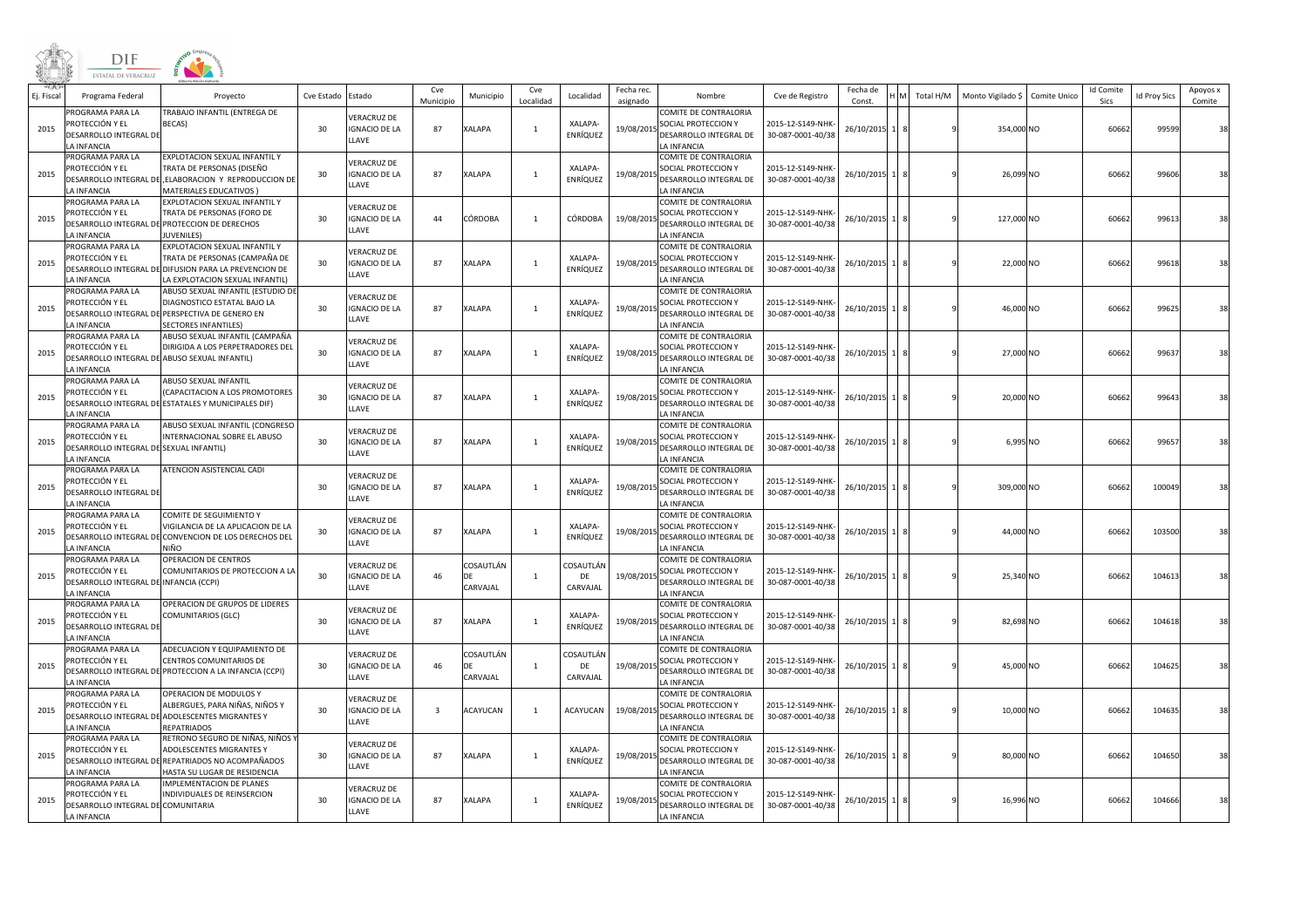|            | DIF<br><b>ESTATAL DE VERACRUZ</b>                                                                 |                                                                                                                                                    |                 |                                                     |                  |                             |                  |                             |                        |                                                                                             |                                        |                    |              |                   |              |                          |                     |                    |
|------------|---------------------------------------------------------------------------------------------------|----------------------------------------------------------------------------------------------------------------------------------------------------|-----------------|-----------------------------------------------------|------------------|-----------------------------|------------------|-----------------------------|------------------------|---------------------------------------------------------------------------------------------|----------------------------------------|--------------------|--------------|-------------------|--------------|--------------------------|---------------------|--------------------|
| Ej. Fiscal | Programa Federal                                                                                  | Proyecto                                                                                                                                           | Cve Estado      | stado                                               | Cve<br>Municipio | Municipio                   | Cve<br>Localidad | Localidad                   | Fecha rec.<br>asignado | Nombre                                                                                      | Cve de Registro                        | Fecha de<br>Const. | Total H/M    | Monto Vigilado \$ | Comite Unico | <b>Id Comite</b><br>Sics | <b>Id Proy Sics</b> | Apoyos x<br>Comite |
| 2015       | <b>PROGRAMA PARA LA</b><br>PROTECCIÓN Y EL<br>DESARROLLO INTEGRAL DE<br>A INFANCIA                | <b>FRABAJO INFANTIL (ENTREGA DE</b><br>BECAS)                                                                                                      | 30              | /ERACRUZ DE<br><b>IGNACIO DE LA</b><br>LAVE         | 87               | <b>KALAPA</b>               | $\overline{1}$   | XALAPA-<br>ENRÍQUEZ         | 19/08/201              | COMITE DE CONTRALORIA<br>SOCIAL PROTECCION Y<br>DESARROLLO INTEGRAL DE<br>A INFANCIA        | 2015-12-S149-NHK-<br>30-087-0001-40/38 | 26/10/2015         |              | 354,000 NO        |              | 60662                    | 99599               | 38                 |
| 2015       | PROGRAMA PARA LA<br>PROTECCIÓN Y EL<br>ESARROLLO INTEGRAL DE<br>A INFANCIA                        | EXPLOTACION SEXUAL INFANTIL Y<br>TRATA DE PERSONAS (DISEÑO<br>ELABORACION Y REPRODUCCION DE<br><b>MATERIALES EDUCATIVOS)</b>                       | 30              | /ERACRUZ DE<br><b>GNACIO DE LA</b><br>LAVE          | 87               | <b>XALAPA</b>               |                  | XALAPA-<br>ENRÍQUEZ         | 19/08/2015             | COMITE DE CONTRALORIA<br>SOCIAL PROTECCION Y<br>DESARROLLO INTEGRAL DE<br>A INFANCIA        | 2015-12-S149-NHK<br>30-087-0001-40/38  | 26/10/2015         |              | 26,099 NO         |              | 60662                    | 99606               | 38                 |
| 2015       | <b>PROGRAMA PARA LA</b><br>PROTECCIÓN Y EL<br>A INFANCIA                                          | EXPLOTACION SEXUAL INFANTIL Y<br><b>FRATA DE PERSONAS (FORO DE</b><br>DESARROLLO INTEGRAL DE PROTECCION DE DERECHOS<br><b>I IVENILES</b>           | 30              | <b>ERACRUZ DE</b><br><b>IGNACIO DE LA</b><br>LLAVE  | 44               | CÓRDOBA                     | $\overline{1}$   | CÓRDOBA                     | 19/08/2019             | COMITE DE CONTRALORIA<br>SOCIAL PROTECCION Y<br>DESARROLLO INTEGRAL DE<br>A INFANCIA        | 2015-12-S149-NHK<br>30-087-0001-40/38  | 26/10/2015         | $\mathbf{q}$ | 127,000 NO        |              | 60662                    | 99613               | 38                 |
| 2015       | <b>ROGRAMA PARA LA</b><br>PROTECCIÓN Y EL<br>ESARROLLO INTEGRAL DE<br>A INFANCIA                  | EXPLOTACION SEXUAL INFANTIL Y<br>FRATA DE PERSONAS (CAMPAÑA DE<br>DIFUSION PARA LA PREVENCION DE<br>A EXPLOTACION SEXUAL INFANTIL)                 | 30 <sup>°</sup> | /ERACRUZ DE<br><b>IGNACIO DE LA</b><br>LLAVE        | 87               | <b>KALAPA</b>               |                  | XALAPA-<br>ENRÍQUEZ         | 19/08/2015             | COMITE DE CONTRALORIA<br>SOCIAL PROTECCION Y<br>DESARROLLO INTEGRAL DE<br>A INFANCIA        | 2015-12-S149-NHK<br>30-087-0001-40/38  | 26/10/2015         |              | 22,000 NO         |              | 60662                    | 99618               | 38                 |
| 2015       | ROGRAMA PARA LA<br>PROTECCIÓN Y EL<br>A INFANCIA                                                  | ABUSO SEXUAL INFANTIL (ESTUDIO DE<br>DIAGNOSTICO ESTATAL BAJO LA<br>DESARROLLO INTEGRAL DE PERSPECTIVA DE GENERO EN<br><b>SECTORES INFANTILES)</b> | 30              | <b>VERACRUZ DE</b><br><b>IGNACIO DE LA</b><br>LLAVE | 87               | XALAPA                      | $\overline{1}$   | XALAPA-<br>ENRÍQUEZ         | 19/08/2019             | COMITE DE CONTRALORIA<br>SOCIAL PROTECCION Y<br>DESARROLLO INTEGRAL DE<br>LA INFANCIA       | 2015-12-S149-NHK<br>30-087-0001-40/38  | 26/10/2015         | $\mathbf{q}$ | 46,000 NO         |              | 60662                    | 99625               | 38                 |
| 2015       | PROGRAMA PARA LA<br>ROTECCIÓN Y EL<br>A INFANCIA                                                  | ABUSO SEXUAL INFANTIL (CAMPAÑA<br>DIRIGIDA A LOS PERPETRADORES DEL<br>ESARROLLO INTEGRAL DE ABUSO SEXUAL INFANTIL)                                 | 30              | <b>VERACRUZ DE</b><br><b>GNACIO DE LA</b><br>LAVE   | 87               | XALAPA                      |                  | XALAPA-<br>ENRÍQUEZ         | 19/08/2015             | COMITE DE CONTRALORIA<br>SOCIAL PROTECCION Y<br>DESARROLLO INTEGRAL DE<br>A INFANCIA        | 2015-12-S149-NHK<br>30-087-0001-40/38  | 26/10/2015         |              | 27,000 NO         |              | 60662                    | 99637               | 38                 |
| 2015       | ROGRAMA PARA LA<br>PROTECCIÓN Y EL<br>A INFANCIA                                                  | ABUSO SEXUAL INFANTIL<br>(CAPACITACION A LOS PROMOTORES<br>DESARROLLO INTEGRAL DE ESTATALES Y MUNICIPALES DIF)                                     | 30              | /ERACRUZ DE<br><b>IGNACIO DE LA</b><br>LLAVE        | 87               | <b>KALAPA</b>               | 1                | XALAPA-<br>ENRÍQUEZ         | 19/08/2019             | COMITE DE CONTRALORIA<br>SOCIAL PROTECCION Y<br>DESARROLLO INTEGRAL DE<br>LA INFANCIA       | 2015-12-S149-NHK-<br>30-087-0001-40/38 | 26/10/2015         |              | 20,000 NO         |              | 60662                    | 99643               | 38                 |
| 2015       | <b>ROGRAMA PARA LA</b><br>'ROTECCIÓN Y EL<br>ESARROLLO INTEGRAL DE SEXUAL INFANTIL)<br>A INFANCIA | ABUSO SEXUAL INFANTIL (CONGRESO<br>INTERNACIONAL SOBRE EL ABUSO                                                                                    | 30              | /ERACRUZ DE<br><b>IGNACIO DE LA</b><br>LAVE         | 87               | <b>KALAPA</b>               |                  | XALAPA-<br>ENRÍQUEZ         | 19/08/2015             | COMITE DE CONTRALORIA<br>SOCIAL PROTECCION Y<br>DESARROLLO INTEGRAL DE<br>A INFANCIA        | 2015-12-S149-NHK<br>30-087-0001-40/38  | 26/10/2015         |              | 6,995 NO          |              | 60662                    | 9965                | 38                 |
| 2015       | ROGRAMA PARA LA<br>PROTECCIÓN Y EL<br>DESARROLLO INTEGRAL DE<br>A INFANCIA                        | ATENCION ASISTENCIAL CADI                                                                                                                          | 30              | <b>VERACRUZ DE</b><br><b>IGNACIO DE LA</b><br>LLAVE | 87               | <b>KALAPA</b>               | $\mathbf{1}$     | XALAPA-<br>ENRÍQUEZ         | 19/08/2019             | COMITE DE CONTRALORIA<br>SOCIAL PROTECCION Y<br>DESARROLLO INTEGRAL DE<br>A INFANCIA        | 2015-12-S149-NHK<br>30-087-0001-40/38  | 26/10/2015         |              | 309,000 NO        |              | 60662                    | 100049              | 38                 |
| 2015       | PROGRAMA PARA LA<br>PROTECCIÓN Y EL<br><b>DESARROLLO INTEGRAL DE</b><br>A INFANCIA                | COMITE DE SEGUIMIENTO Y<br>VIGILANCIA DE LA APLICACION DE LA<br>CONVENCION DE LOS DERECHOS DEL<br>VIÑO                                             | 30              | <b>VERACRUZ DE</b><br><b>GNACIO DE LA</b><br>LAVE   | 87               | XALAPA                      |                  | XALAPA-<br>ENRÍQUEZ         | 19/08/2015             | COMITE DE CONTRALORIA<br>SOCIAL PROTECCION Y<br>DESARROLLO INTEGRAL DE<br>A INFANCIA        | 2015-12-S149-NHK<br>30-087-0001-40/38  | 26/10/2015         |              | 44,000 NO         |              | 60662                    | 103500              | 38                 |
| 2015       | ROGRAMA PARA LA<br>PROTECCIÓN Y EL<br>DESARROLLO INTEGRAL DE INFANCIA (CCPI)<br>LA INFANCIA       | OPERACION DE CENTROS<br>COMUNITARIOS DE PROTECCION A LA                                                                                            | 30              | <b>ERACRUZ DE</b><br><b>IGNACIO DE LA</b><br>LLAVE  | 46               | COSAUTLÁN<br>DF<br>CARVAJAL | $\overline{1}$   | COSAUTLÁN<br>DE<br>CARVAJAL | 19/08/2015             | COMITE DE CONTRALORIA<br>SOCIAL PROTECCION Y<br>DESARROLLO INTEGRAL DE<br>LA INFANCIA       | 2015-12-S149-NHK<br>30-087-0001-40/38  | 26/10/2015         |              | 25,340 NO         |              | 60662                    | 10461               | 38                 |
| 2015       | <b>ROGRAMA PARA LA</b><br>PROTECCIÓN Y EL<br>ESARROLLO INTEGRAL DE<br>A INFANCIA                  | OPERACION DE GRUPOS DE LIDERES<br>COMUNITARIOS (GLC)                                                                                               | 30              | /ERACRUZ DE<br><b>IGNACIO DE LA</b><br>LAVE.        | 87               | XALAPA                      | $\overline{1}$   | XALAPA-<br>ENRÍQUEZ         | 19/08/2015             | COMITE DE CONTRALORIA<br>SOCIAL PROTECCION Y<br>DESARROLLO INTEGRAL DE<br>A INFANCIA        | 2015-12-S149-NHK<br>30-087-0001-40/38  | 26/10/2015         |              | 82,698 NO         |              | 60662                    | 104618              | 38                 |
| 2015       | <b>ROGRAMA PARA LA</b><br>PROTECCIÓN Y EL<br>A INFANCIA                                           | ADECUACION Y EQUIPAMIENTO DE<br>CENTROS COMUNITARIOS DE<br>DESARROLLO INTEGRAL DE PROTECCION A LA INFANCIA (CCPI)                                  | 30              | /ERACRUZ DE<br><b>IGNACIO DE LA</b><br>LLAVE        | 46               | COSAUTLÁN<br>DE<br>CARVAJAL | 1                | COSAUTLÁN<br>DE<br>CARVAJAL | 19/08/2019             | <b>COMITE DE CONTRALORIA</b><br>SOCIAL PROTECCION Y<br>DESARROLLO INTEGRAL DE<br>A INFANCIA | 2015-12-S149-NHK<br>30-087-0001-40/38  | 26/10/2015         |              | 45,000 NO         |              | 60662                    | 104625              | 38                 |
| 2015       | <b>ROGRAMA PARA LA</b><br>PROTECCIÓN Y EL<br>A INFANCIA                                           | OPERACION DE MODULOS '<br>ALBERGUES. PARA NIÑAS. NIÑOS Y<br>DESARROLLO INTEGRAL DE ADOLESCENTES MIGRANTES Y<br>REPATRIADOS                         | 30              | <b>VERACRUZ DE</b><br><b>GNACIO DE LA</b><br>LAVE   | 3                | ACAYUCAN                    | $\overline{1}$   | ACAYUCAN                    | 19/08/2015             | COMITE DE CONTRALORIA<br>SOCIAL PROTECCION Y<br>DESARROLLO INTEGRAL DE<br>A INFANCIA        | 2015-12-S149-NHK<br>30-087-0001-40/38  | 26/10/2015         |              | 10,000 NO         |              | 60662                    | 104635              | 38                 |
| 2015       | ROGRAMA PARA LA<br>PROTECCIÓN Y EL<br>DESARROLLO INTEGRAL DE<br>A INFANCIA                        | RETRONO SEGURO DE NIÑAS, NIÑOS '<br>ADOLESCENTES MIGRANTES Y<br>REPATRIADOS NO ACOMPAÑADOS<br>HASTA SU LUGAR DE RESIDENCIA                         | 30              | <b>/ERACRUZ DE</b><br><b>IGNACIO DE LA</b><br>LLAVE | 87               | <b>KALAPA</b>               | 1                | XALAPA-<br>ENRÍQUEZ         | 19/08/2019             | COMITE DE CONTRALORIA<br>SOCIAL PROTECCION Y<br>DESARROLLO INTEGRAL DE<br>LA INFANCIA       | 2015-12-S149-NHK<br>30-087-0001-40/38  | 26/10/2015         |              | 80,000 NO         |              | 60662                    | 104650              | 38                 |
| 2015       | <b>ROGRAMA PARA LA</b><br>'ROTECCIÓN Y EL<br>DESARROLLO INTEGRAL DE COMUNITARIA<br>A INFANCIA     | MPLEMENTACION DE PLANES<br>INDIVIDUALES DE REINSERCION                                                                                             | 30              | /ERACRUZ DE<br><b>IGNACIO DE LA</b><br>LAVE         | 87               | XALAPA                      |                  | XALAPA-<br>ENRÍQUEZ         | 19/08/2015             | COMITE DE CONTRALORIA<br>SOCIAL PROTECCION Y<br>DESARROLLO INTEGRAL DE<br>LA INFANCIA       | 2015-12-S149-NHK<br>30-087-0001-40/38  | 26/10/2015         | $\mathbf{q}$ | 16,996 NO         |              | 60662                    | 104666              | 38                 |